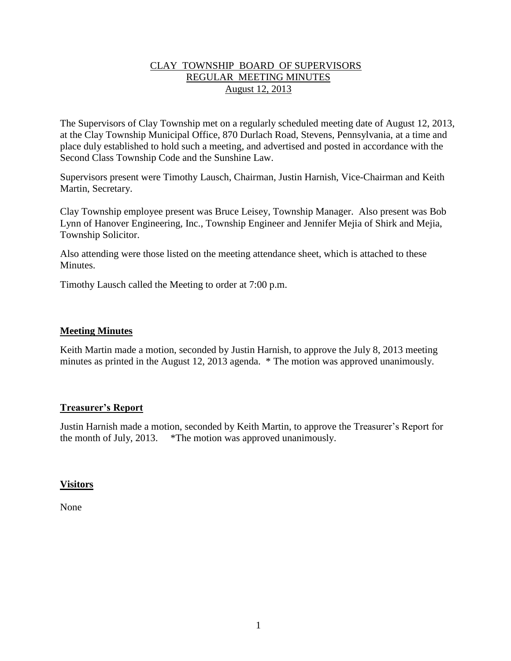# CLAY TOWNSHIP BOARD OF SUPERVISORS REGULAR MEETING MINUTES August 12, 2013

The Supervisors of Clay Township met on a regularly scheduled meeting date of August 12, 2013, at the Clay Township Municipal Office, 870 Durlach Road, Stevens, Pennsylvania, at a time and place duly established to hold such a meeting, and advertised and posted in accordance with the Second Class Township Code and the Sunshine Law.

Supervisors present were Timothy Lausch, Chairman, Justin Harnish, Vice-Chairman and Keith Martin, Secretary.

Clay Township employee present was Bruce Leisey, Township Manager. Also present was Bob Lynn of Hanover Engineering, Inc., Township Engineer and Jennifer Mejia of Shirk and Mejia, Township Solicitor.

Also attending were those listed on the meeting attendance sheet, which is attached to these **Minutes** 

Timothy Lausch called the Meeting to order at 7:00 p.m.

## **Meeting Minutes**

Keith Martin made a motion, seconded by Justin Harnish, to approve the July 8, 2013 meeting minutes as printed in the August 12, 2013 agenda. \* The motion was approved unanimously.

### **Treasurer's Report**

Justin Harnish made a motion, seconded by Keith Martin, to approve the Treasurer's Report for the month of July, 2013. \*The motion was approved unanimously.

### **Visitors**

None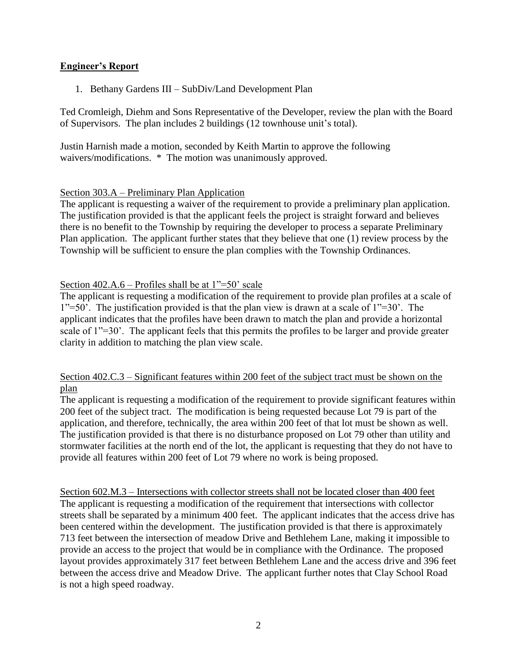# **Engineer's Report**

1. Bethany Gardens III – SubDiv/Land Development Plan

Ted Cromleigh, Diehm and Sons Representative of the Developer, review the plan with the Board of Supervisors. The plan includes 2 buildings (12 townhouse unit's total).

Justin Harnish made a motion, seconded by Keith Martin to approve the following waivers/modifications. \* The motion was unanimously approved.

# Section 303.A – Preliminary Plan Application

The applicant is requesting a waiver of the requirement to provide a preliminary plan application. The justification provided is that the applicant feels the project is straight forward and believes there is no benefit to the Township by requiring the developer to process a separate Preliminary Plan application. The applicant further states that they believe that one (1) review process by the Township will be sufficient to ensure the plan complies with the Township Ordinances.

# Section  $402.A.6$  – Profiles shall be at  $1" = 50'$  scale

The applicant is requesting a modification of the requirement to provide plan profiles at a scale of 1"=50'. The justification provided is that the plan view is drawn at a scale of 1"=30'. The applicant indicates that the profiles have been drawn to match the plan and provide a horizontal scale of 1"=30'. The applicant feels that this permits the profiles to be larger and provide greater clarity in addition to matching the plan view scale.

### Section 402.C.3 – Significant features within 200 feet of the subject tract must be shown on the plan

The applicant is requesting a modification of the requirement to provide significant features within 200 feet of the subject tract. The modification is being requested because Lot 79 is part of the application, and therefore, technically, the area within 200 feet of that lot must be shown as well. The justification provided is that there is no disturbance proposed on Lot 79 other than utility and stormwater facilities at the north end of the lot, the applicant is requesting that they do not have to provide all features within 200 feet of Lot 79 where no work is being proposed.

Section 602.M.3 – Intersections with collector streets shall not be located closer than 400 feet The applicant is requesting a modification of the requirement that intersections with collector streets shall be separated by a minimum 400 feet. The applicant indicates that the access drive has been centered within the development. The justification provided is that there is approximately 713 feet between the intersection of meadow Drive and Bethlehem Lane, making it impossible to provide an access to the project that would be in compliance with the Ordinance. The proposed layout provides approximately 317 feet between Bethlehem Lane and the access drive and 396 feet between the access drive and Meadow Drive. The applicant further notes that Clay School Road is not a high speed roadway.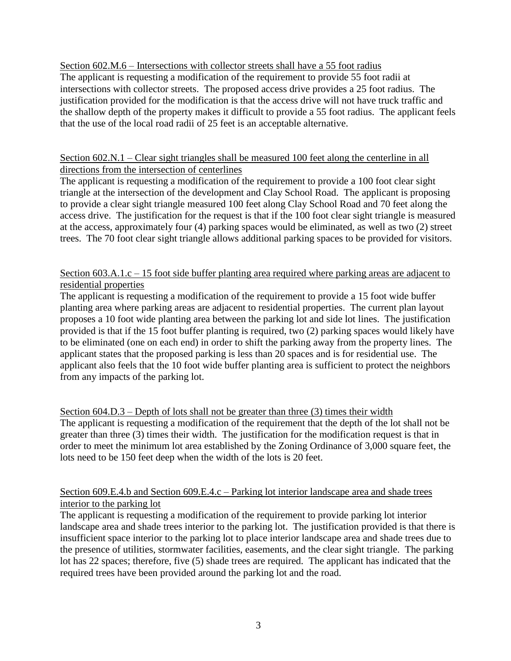Section 602.M.6 – Intersections with collector streets shall have a 55 foot radius

The applicant is requesting a modification of the requirement to provide 55 foot radii at intersections with collector streets. The proposed access drive provides a 25 foot radius. The justification provided for the modification is that the access drive will not have truck traffic and the shallow depth of the property makes it difficult to provide a 55 foot radius. The applicant feels that the use of the local road radii of 25 feet is an acceptable alternative.

# Section 602.N.1 – Clear sight triangles shall be measured 100 feet along the centerline in all directions from the intersection of centerlines

The applicant is requesting a modification of the requirement to provide a 100 foot clear sight triangle at the intersection of the development and Clay School Road. The applicant is proposing to provide a clear sight triangle measured 100 feet along Clay School Road and 70 feet along the access drive. The justification for the request is that if the 100 foot clear sight triangle is measured at the access, approximately four (4) parking spaces would be eliminated, as well as two (2) street trees. The 70 foot clear sight triangle allows additional parking spaces to be provided for visitors.

# Section 603.A.1.c – 15 foot side buffer planting area required where parking areas are adjacent to residential properties

The applicant is requesting a modification of the requirement to provide a 15 foot wide buffer planting area where parking areas are adjacent to residential properties. The current plan layout proposes a 10 foot wide planting area between the parking lot and side lot lines. The justification provided is that if the 15 foot buffer planting is required, two (2) parking spaces would likely have to be eliminated (one on each end) in order to shift the parking away from the property lines. The applicant states that the proposed parking is less than 20 spaces and is for residential use. The applicant also feels that the 10 foot wide buffer planting area is sufficient to protect the neighbors from any impacts of the parking lot.

Section 604.D.3 – Depth of lots shall not be greater than three (3) times their width The applicant is requesting a modification of the requirement that the depth of the lot shall not be greater than three (3) times their width. The justification for the modification request is that in order to meet the minimum lot area established by the Zoning Ordinance of 3,000 square feet, the lots need to be 150 feet deep when the width of the lots is 20 feet.

# Section 609.E.4.b and Section 609.E.4.c – Parking lot interior landscape area and shade trees interior to the parking lot

The applicant is requesting a modification of the requirement to provide parking lot interior landscape area and shade trees interior to the parking lot. The justification provided is that there is insufficient space interior to the parking lot to place interior landscape area and shade trees due to the presence of utilities, stormwater facilities, easements, and the clear sight triangle. The parking lot has 22 spaces; therefore, five (5) shade trees are required. The applicant has indicated that the required trees have been provided around the parking lot and the road.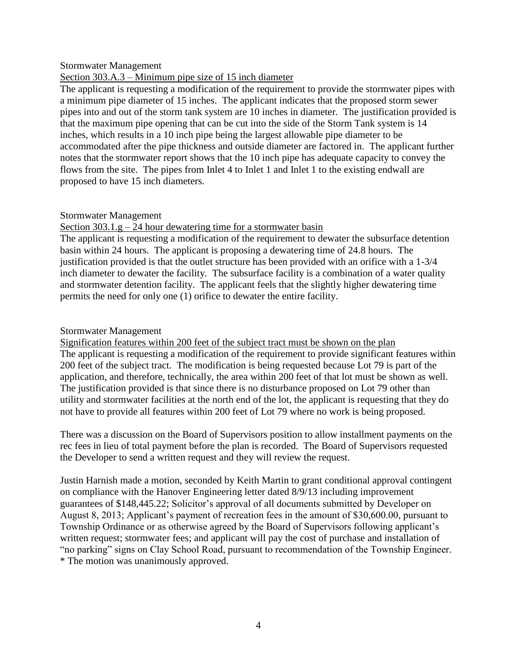#### Stormwater Management

## Section 303.A.3 – Minimum pipe size of 15 inch diameter

The applicant is requesting a modification of the requirement to provide the stormwater pipes with a minimum pipe diameter of 15 inches. The applicant indicates that the proposed storm sewer pipes into and out of the storm tank system are 10 inches in diameter. The justification provided is that the maximum pipe opening that can be cut into the side of the Storm Tank system is 14 inches, which results in a 10 inch pipe being the largest allowable pipe diameter to be accommodated after the pipe thickness and outside diameter are factored in. The applicant further notes that the stormwater report shows that the 10 inch pipe has adequate capacity to convey the flows from the site. The pipes from Inlet 4 to Inlet 1 and Inlet 1 to the existing endwall are proposed to have 15 inch diameters.

### Stormwater Management

### Section  $303.1$ .g – 24 hour dewatering time for a stormwater basin

The applicant is requesting a modification of the requirement to dewater the subsurface detention basin within 24 hours. The applicant is proposing a dewatering time of 24.8 hours. The justification provided is that the outlet structure has been provided with an orifice with a 1-3/4 inch diameter to dewater the facility. The subsurface facility is a combination of a water quality and stormwater detention facility. The applicant feels that the slightly higher dewatering time permits the need for only one (1) orifice to dewater the entire facility.

#### Stormwater Management

Signification features within 200 feet of the subject tract must be shown on the plan The applicant is requesting a modification of the requirement to provide significant features within 200 feet of the subject tract. The modification is being requested because Lot 79 is part of the application, and therefore, technically, the area within 200 feet of that lot must be shown as well. The justification provided is that since there is no disturbance proposed on Lot 79 other than utility and stormwater facilities at the north end of the lot, the applicant is requesting that they do not have to provide all features within 200 feet of Lot 79 where no work is being proposed.

There was a discussion on the Board of Supervisors position to allow installment payments on the rec fees in lieu of total payment before the plan is recorded. The Board of Supervisors requested the Developer to send a written request and they will review the request.

Justin Harnish made a motion, seconded by Keith Martin to grant conditional approval contingent on compliance with the Hanover Engineering letter dated 8/9/13 including improvement guarantees of \$148,445.22; Solicitor's approval of all documents submitted by Developer on August 8, 2013; Applicant's payment of recreation fees in the amount of \$30,600.00, pursuant to Township Ordinance or as otherwise agreed by the Board of Supervisors following applicant's written request; stormwater fees; and applicant will pay the cost of purchase and installation of "no parking" signs on Clay School Road, pursuant to recommendation of the Township Engineer. \* The motion was unanimously approved.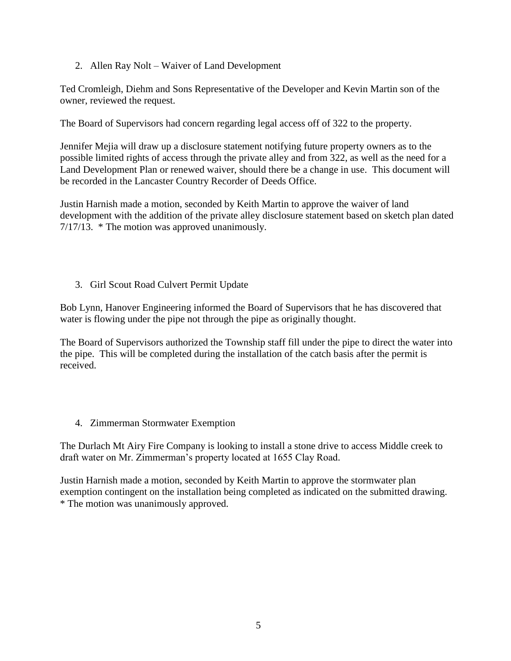2. Allen Ray Nolt – Waiver of Land Development

Ted Cromleigh, Diehm and Sons Representative of the Developer and Kevin Martin son of the owner, reviewed the request.

The Board of Supervisors had concern regarding legal access off of 322 to the property.

Jennifer Mejia will draw up a disclosure statement notifying future property owners as to the possible limited rights of access through the private alley and from 322, as well as the need for a Land Development Plan or renewed waiver, should there be a change in use. This document will be recorded in the Lancaster Country Recorder of Deeds Office.

Justin Harnish made a motion, seconded by Keith Martin to approve the waiver of land development with the addition of the private alley disclosure statement based on sketch plan dated 7/17/13. \* The motion was approved unanimously.

3. Girl Scout Road Culvert Permit Update

Bob Lynn, Hanover Engineering informed the Board of Supervisors that he has discovered that water is flowing under the pipe not through the pipe as originally thought.

The Board of Supervisors authorized the Township staff fill under the pipe to direct the water into the pipe. This will be completed during the installation of the catch basis after the permit is received.

4. Zimmerman Stormwater Exemption

The Durlach Mt Airy Fire Company is looking to install a stone drive to access Middle creek to draft water on Mr. Zimmerman's property located at 1655 Clay Road.

Justin Harnish made a motion, seconded by Keith Martin to approve the stormwater plan exemption contingent on the installation being completed as indicated on the submitted drawing. \* The motion was unanimously approved.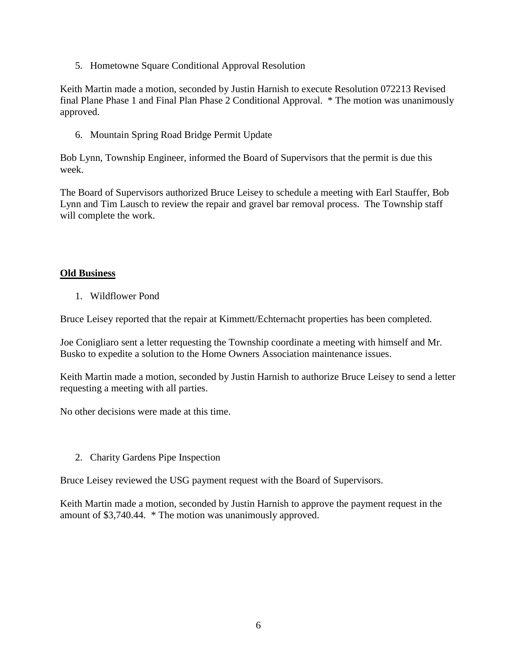5. Hometowne Square Conditional Approval Resolution

Keith Martin made a motion, seconded by Justin Harnish to execute Resolution 072213 Revised final Plane Phase 1 and Final Plan Phase 2 Conditional Approval. \* The motion was unanimously approved.

6. Mountain Spring Road Bridge Permit Update

Bob Lynn, Township Engineer, informed the Board of Supervisors that the permit is due this week.

The Board of Supervisors authorized Bruce Leisey to schedule a meeting with Earl Stauffer, Bob Lynn and Tim Lausch to review the repair and gravel bar removal process. The Township staff will complete the work.

# **Old Business**

1. Wildflower Pond

Bruce Leisey reported that the repair at Kimmett/Echternacht properties has been completed.

Joe Conigliaro sent a letter requesting the Township coordinate a meeting with himself and Mr. Busko to expedite a solution to the Home Owners Association maintenance issues.

Keith Martin made a motion, seconded by Justin Harnish to authorize Bruce Leisey to send a letter requesting a meeting with all parties.

No other decisions were made at this time.

2. Charity Gardens Pipe Inspection

Bruce Leisey reviewed the USG payment request with the Board of Supervisors.

Keith Martin made a motion, seconded by Justin Harnish to approve the payment request in the amount of \$3,740.44. \* The motion was unanimously approved.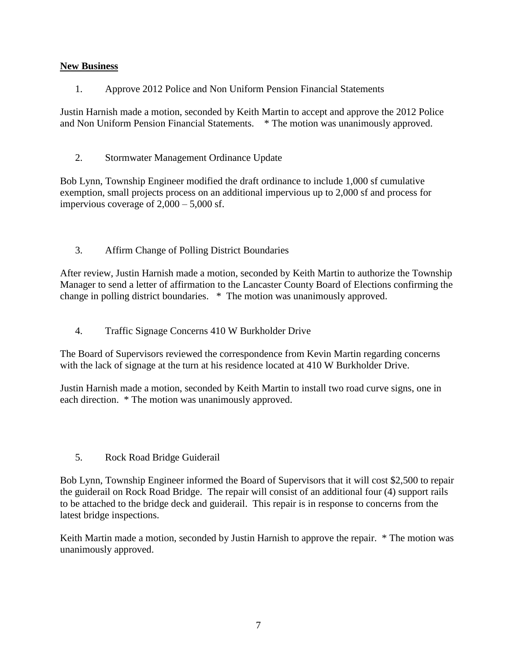# **New Business**

1. Approve 2012 Police and Non Uniform Pension Financial Statements

Justin Harnish made a motion, seconded by Keith Martin to accept and approve the 2012 Police and Non Uniform Pension Financial Statements. \* The motion was unanimously approved.

2. Stormwater Management Ordinance Update

Bob Lynn, Township Engineer modified the draft ordinance to include 1,000 sf cumulative exemption, small projects process on an additional impervious up to 2,000 sf and process for impervious coverage of  $2,000 - 5,000$  sf.

3. Affirm Change of Polling District Boundaries

After review, Justin Harnish made a motion, seconded by Keith Martin to authorize the Township Manager to send a letter of affirmation to the Lancaster County Board of Elections confirming the change in polling district boundaries. \* The motion was unanimously approved.

4. Traffic Signage Concerns 410 W Burkholder Drive

The Board of Supervisors reviewed the correspondence from Kevin Martin regarding concerns with the lack of signage at the turn at his residence located at 410 W Burkholder Drive.

Justin Harnish made a motion, seconded by Keith Martin to install two road curve signs, one in each direction. \* The motion was unanimously approved.

5. Rock Road Bridge Guiderail

Bob Lynn, Township Engineer informed the Board of Supervisors that it will cost \$2,500 to repair the guiderail on Rock Road Bridge. The repair will consist of an additional four (4) support rails to be attached to the bridge deck and guiderail. This repair is in response to concerns from the latest bridge inspections.

Keith Martin made a motion, seconded by Justin Harnish to approve the repair. \* The motion was unanimously approved.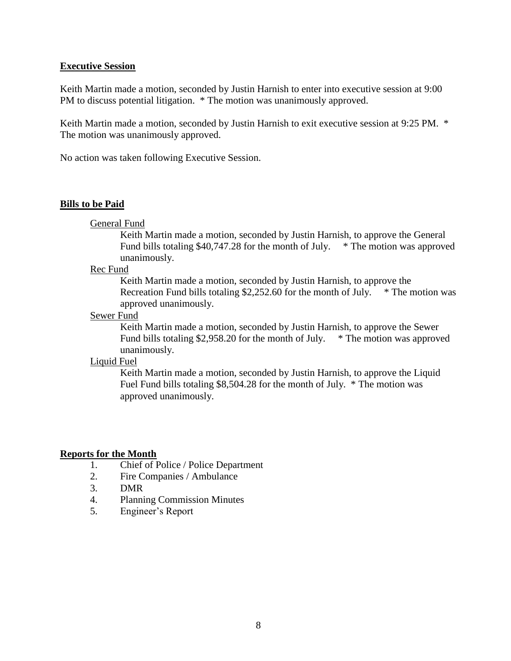#### **Executive Session**

Keith Martin made a motion, seconded by Justin Harnish to enter into executive session at 9:00 PM to discuss potential litigation. \* The motion was unanimously approved.

Keith Martin made a motion, seconded by Justin Harnish to exit executive session at 9:25 PM. \* The motion was unanimously approved.

No action was taken following Executive Session.

#### **Bills to be Paid**

General Fund

Keith Martin made a motion, seconded by Justin Harnish, to approve the General Fund bills totaling \$40,747.28 for the month of July. \* The motion was approved unanimously.

#### Rec Fund

Keith Martin made a motion, seconded by Justin Harnish, to approve the Recreation Fund bills totaling  $$2,252.60$  for the month of July.  $*$  The motion was approved unanimously.

#### Sewer Fund

Keith Martin made a motion, seconded by Justin Harnish, to approve the Sewer Fund bills totaling \$2,958.20 for the month of July. \* The motion was approved unanimously.

#### Liquid Fuel

Keith Martin made a motion, seconded by Justin Harnish, to approve the Liquid Fuel Fund bills totaling \$8,504.28 for the month of July. \* The motion was approved unanimously.

### **Reports for the Month**

- 1. Chief of Police / Police Department
- 2. Fire Companies / Ambulance
- 3. DMR
- 4. Planning Commission Minutes
- 5. Engineer's Report